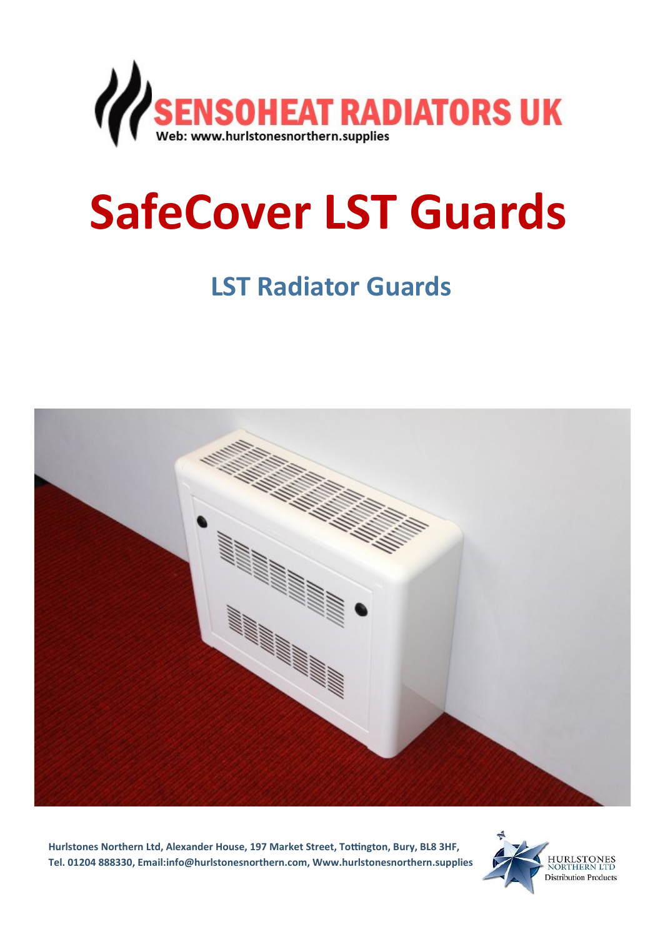

## **SafeCover LST Guards**

## **LST Radiator Guards**



**Hurlstones Northern Ltd, Alexander House, 197 Market Street, Tottington, Bury, BL8 3HF, Tel. 01204 888330, Email:info@hurlstonesnorthern.com, Www.hurlstonesnorthern.supplies**